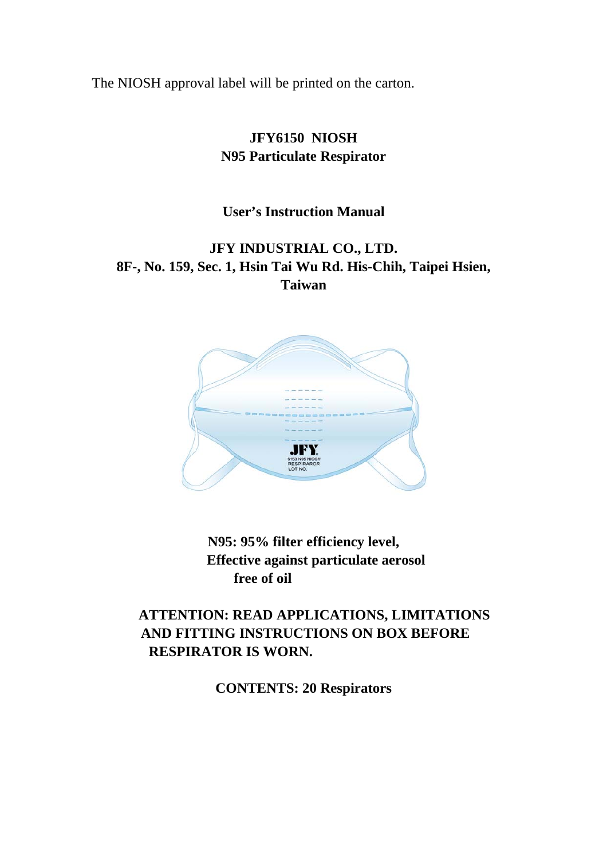The NIOSH approval label will be printed on the carton.

#### **JFY6150 NIOSH N95 Particulate Respirator**

#### **User's Instruction Manual**

#### **JFY INDUSTRIAL CO., LTD. 8F-, No. 159, Sec. 1, Hsin Tai Wu Rd. His-Chih, Taipei Hsien, Taiwan**



**N95: 95% filter efficiency level, Effective against particulate aerosol free of oil** 

#### **ATTENTION: READ APPLICATIONS, LIMITATIONS AND FITTING INSTRUCTIONS ON BOX BEFORE RESPIRATOR IS WORN.**

**CONTENTS: 20 Respirators**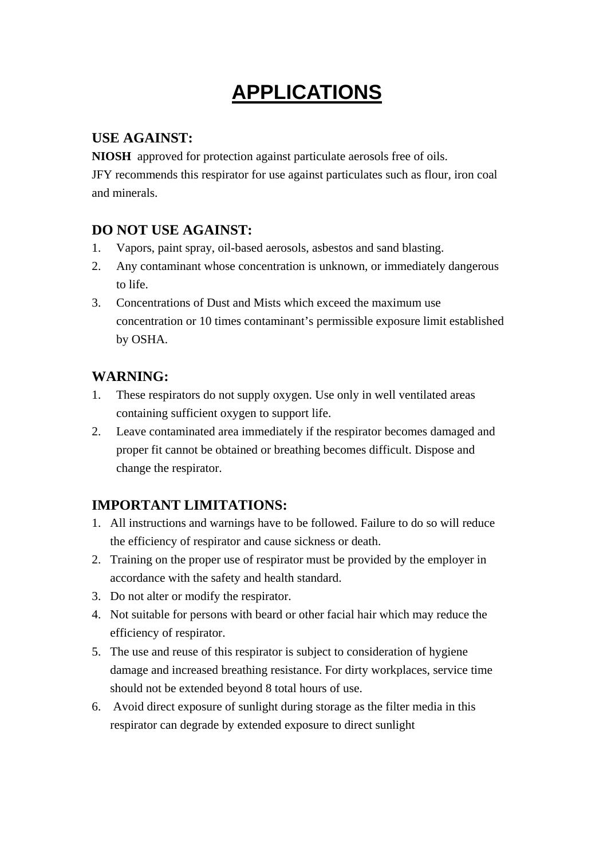## **APPLICATIONS**

#### **USE AGAINST:**

**NIOSH** approved for protection against particulate aerosols free of oils.

JFY recommends this respirator for use against particulates such as flour, iron coal and minerals.

#### **DO NOT USE AGAINST:**

- 1. Vapors, paint spray, oil-based aerosols, asbestos and sand blasting.
- 2. Any contaminant whose concentration is unknown, or immediately dangerous to life.
- 3. Concentrations of Dust and Mists which exceed the maximum use concentration or 10 times contaminant's permissible exposure limit established by OSHA.

#### **WARNING:**

- 1. These respirators do not supply oxygen. Use only in well ventilated areas containing sufficient oxygen to support life.
- 2. Leave contaminated area immediately if the respirator becomes damaged and proper fit cannot be obtained or breathing becomes difficult. Dispose and change the respirator.

#### **IMPORTANT LIMITATIONS:**

- 1. All instructions and warnings have to be followed. Failure to do so will reduce the efficiency of respirator and cause sickness or death.
- 2. Training on the proper use of respirator must be provided by the employer in accordance with the safety and health standard.
- 3. Do not alter or modify the respirator.
- 4. Not suitable for persons with beard or other facial hair which may reduce the efficiency of respirator.
- 5. The use and reuse of this respirator is subject to consideration of hygiene damage and increased breathing resistance. For dirty workplaces, service time should not be extended beyond 8 total hours of use.
- 6. Avoid direct exposure of sunlight during storage as the filter media in this respirator can degrade by extended exposure to direct sunlight